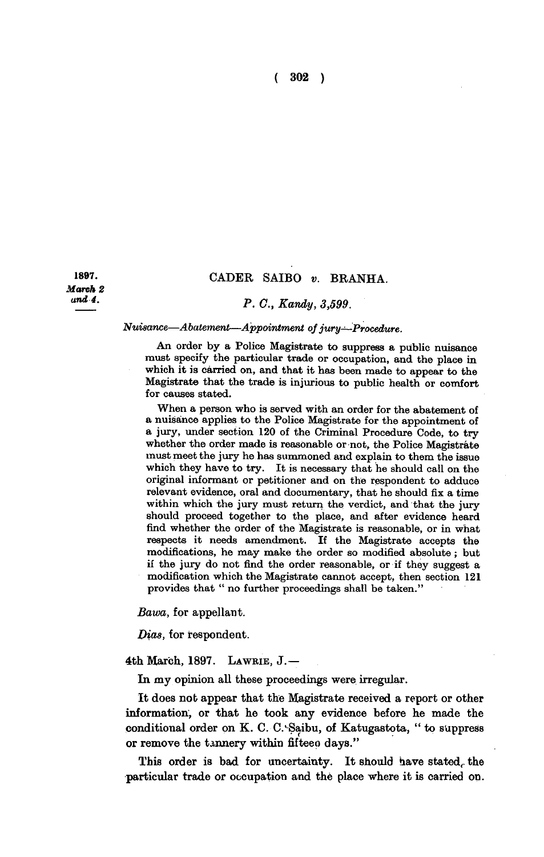**( 302 )** 

*March 2 and 4.* 

## **1897. CADER SAIBO** *v.* **BRANHA.**

## *- P. C, Kandy, 3,599.*

## *Nuisance*—*Abatement—Appointment of jury—Procedure.*

**An order by a Police Magistrate to suppress a public nuisance must specify the particular trade or occupation, and the place in which it is carried on, and that it has been made to appear to the Magistrate that the trade is injurious to public health or comfort for causes stated.** 

**When a person who is served with an order for the abatement of a nuisance applies to the Police Magistrate for the appointment of a jury, under section 120 of the Criminal Procedure Code, to try whether the order made is reasonable or not, the Police Magistrate must meet the jury he has summoned and explain to them the issue which they have to try. It is necessary that he should call on the original informant or petitioner and on the respondent to adduce relevant evidence, oral and documentary, that he should fix a time within which the jury must return the verdict, and that the jury should proceed together to the place, and after evidence heard find whether the order of the Magistrate is reasonable, or in what respects it needs amendment. If the Magistrate accepts the modifications, he may make the order so modified absolute ; but if the jury do not find the order reasonable, or if they suggest a modification which the Magistrate cannot accept, then section 121 provides that " no further proceedings shall be taken."** 

*Bawa,* **for appellant.** 

*Bias,* **for respondent.** 

**4th March, 1897 . LAWBIE, J. —** 

**In my opinion all these proceedings were irregular.** 

**It does nob appear that the Magistrate received a report or other information, or that he took any evidence before he made the**  conditional order on K. C. C. Saibu, of Katugastota, " to suppress or remove the tannery within fifteen days."

This order is bad for uncertainty. It should have stated, the **particular trade or occupation and the place where it is carried on.**